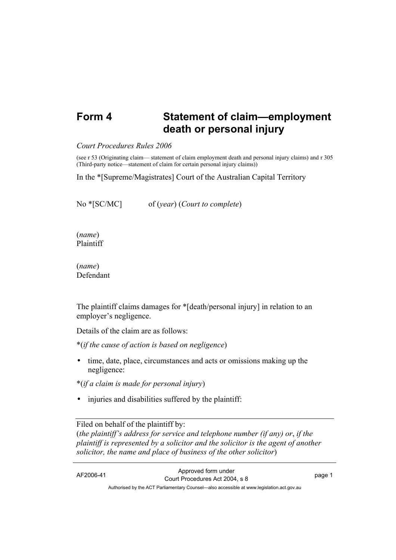## **Form 4 Statement of claim—employment death or personal injury**

## *Court Procedures Rules 2006*

(see r 53 (Originating claim— statement of claim employment death and personal injury claims) and r 305 (Third-party notice—statement of claim for certain personal injury claims))

In the \*[Supreme/Magistrates] Court of the Australian Capital Territory

No \*[SC/MC] of (*year*) (*Court to complete*)

(*name*) Plaintiff

(*name*) Defendant

The plaintiff claims damages for \*[death/personal injury] in relation to an employer's negligence.

Details of the claim are as follows:

\*(*if the cause of action is based on negligence*)

• time, date, place, circumstances and acts or omissions making up the negligence:

\*(*if a claim is made for personal injury*)

• injuries and disabilities suffered by the plaintiff:

Filed on behalf of the plaintiff by:

(*the plaintiff's address for service and telephone number (if any) or*, *if the plaintiff is represented by a solicitor and the solicitor is the agent of another solicitor, the name and place of business of the other solicitor*)

AF2006-41 Approved form under Court Procedures Act 2004, s 8 page 1 Authorised by the ACT Parliamentary Counsel—also accessible at www.legislation.act.gov.au